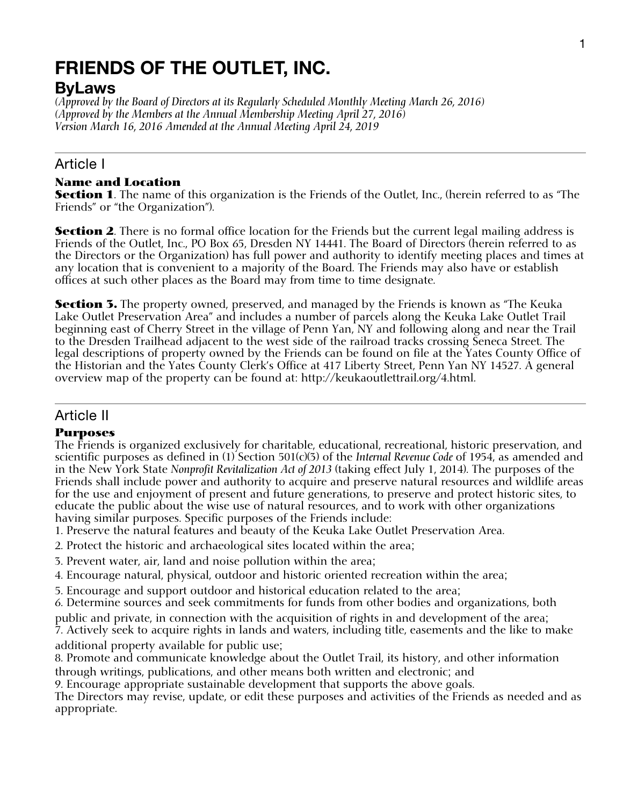# **FRIENDS OF THE OUTLET, INC.**

# **ByLaws**

*(Approved by the Board of Directors at its Regularly Scheduled Monthly Meeting March 26, 2016) (Approved by the Members at the Annual Membership Meeting April 27, 2016) Version March 16, 2016 Amended at the Annual Meeting April 24, 2019* 

## Article I

#### **Name and Location**

**Section 1**. The name of this organization is the Friends of the Outlet, Inc., (herein referred to as "The Friends" or "the Organization").

**Section 2**. There is no formal office location for the Friends but the current legal mailing address is Friends of the Outlet, Inc., PO Box 65, Dresden NY 14441. The Board of Directors (herein referred to as the Directors or the Organization) has full power and authority to identify meeting places and times at any location that is convenient to a majority of the Board. The Friends may also have or establish offices at such other places as the Board may from time to time designate.

**Section 3.** The property owned, preserved, and managed by the Friends is known as "The Keuka" Lake Outlet Preservation Area" and includes a number of parcels along the Keuka Lake Outlet Trail beginning east of Cherry Street in the village of Penn Yan, NY and following along and near the Trail to the Dresden Trailhead adjacent to the west side of the railroad tracks crossing Seneca Street. The legal descriptions of property owned by the Friends can be found on file at the Yates County Office of the Historian and the Yates County Clerk's Office at 417 Liberty Street, Penn Yan NY 14527. A general overview map of the property can be found at: http://keukaoutlettrail.org/4.html.

### Article II

### **Purposes**

The Friends is organized exclusively for charitable, educational, recreational, historic preservation, and scientific purposes as defined in (1) Section 501(c)(3) of the *Internal Revenue Code* of 1954, as amended and in the New York State *Nonprofit Revitalization Act of 2013* (taking effect July 1, 2014). The purposes of the Friends shall include power and authority to acquire and preserve natural resources and wildlife areas for the use and enjoyment of present and future generations, to preserve and protect historic sites, to educate the public about the wise use of natural resources, and to work with other organizations having similar purposes. Specific purposes of the Friends include:

1. Preserve the natural features and beauty of the Keuka Lake Outlet Preservation Area.

- 2. Protect the historic and archaeological sites located within the area;
- 3. Prevent water, air, land and noise pollution within the area;
- 4. Encourage natural, physical, outdoor and historic oriented recreation within the area;
- 5. Encourage and support outdoor and historical education related to the area;

6. Determine sources and seek commitments for funds from other bodies and organizations, both

public and private, in connection with the acquisition of rights in and development of the area; 7. Actively seek to acquire rights in lands and waters, including title, easements and the like to make additional property available for public use;

8. Promote and communicate knowledge about the Outlet Trail, its history, and other information through writings, publications, and other means both written and electronic; and

9. Encourage appropriate sustainable development that supports the above goals.

The Directors may revise, update, or edit these purposes and activities of the Friends as needed and as appropriate.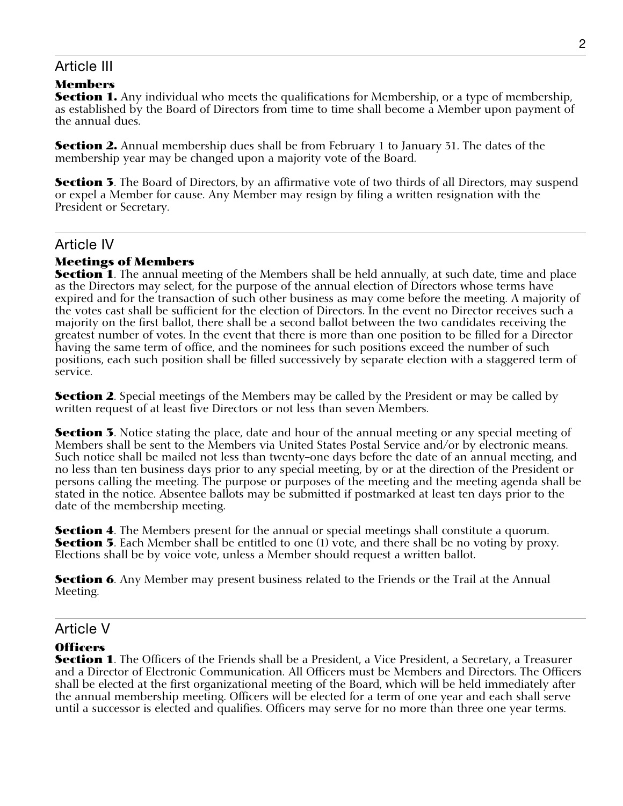### Article III

### **Members**

**Section 1.** Any individual who meets the qualifications for Membership, or a type of membership, as established by the Board of Directors from time to time shall become a Member upon payment of the annual dues.

**Section 2.** Annual membership dues shall be from February 1 to January 31. The dates of the membership year may be changed upon a majority vote of the Board.

**Section 3**. The Board of Directors, by an affirmative vote of two thirds of all Directors, may suspend or expel a Member for cause. Any Member may resign by filing a written resignation with the President or Secretary.

### Article IV

#### **Meetings of Members**

**Section 1**. The annual meeting of the Members shall be held annually, at such date, time and place as the Directors may select, for the purpose of the annual election of Directors whose terms have expired and for the transaction of such other business as may come before the meeting. A majority of the votes cast shall be sufficient for the election of Directors. In the event no Director receives such a majority on the first ballot, there shall be a second ballot between the two candidates receiving the greatest number of votes. In the event that there is more than one position to be filled for a Director having the same term of office, and the nominees for such positions exceed the number of such positions, each such position shall be filled successively by separate election with a staggered term of service.

**Section 2**. Special meetings of the Members may be called by the President or may be called by written request of at least five Directors or not less than seven Members.

**Section 3**. Notice stating the place, date and hour of the annual meeting or any special meeting of Members shall be sent to the Members via United States Postal Service and/or by electronic means. Such notice shall be mailed not less than twenty-one days before the date of an annual meeting, and no less than ten business days prior to any special meeting, by or at the direction of the President or persons calling the meeting. The purpose or purposes of the meeting and the meeting agenda shall be stated in the notice. Absentee ballots may be submitted if postmarked at least ten days prior to the date of the membership meeting.

**Section 4**. The Members present for the annual or special meetings shall constitute a quorum. **Section 5**. Each Member shall be entitled to one (1) vote, and there shall be no voting by proxy. Elections shall be by voice vote, unless a Member should request a written ballot.

**Section 6**. Any Member may present business related to the Friends or the Trail at the Annual Meeting.

### Article V

#### **Officers**

**Section 1**. The Officers of the Friends shall be a President, a Vice President, a Secretary, a Treasurer and a Director of Electronic Communication. All Officers must be Members and Directors. The Officers shall be elected at the first organizational meeting of the Board, which will be held immediately after the annual membership meeting. Officers will be elected for a term of one year and each shall serve until a successor is elected and qualifies. Officers may serve for no more than three one year terms.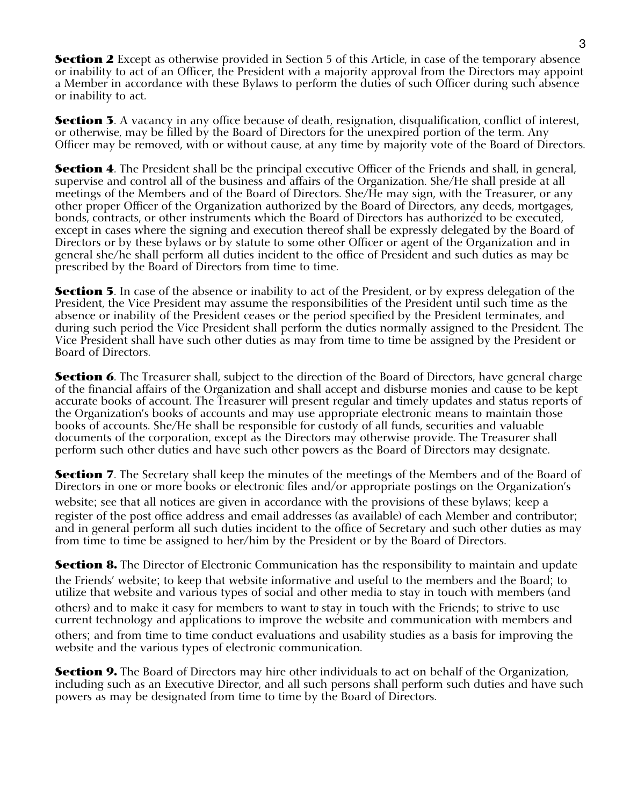**Section 2** Except as otherwise provided in Section 5 of this Article, in case of the temporary absence or inability to act of an Officer, the President with a majority approval from the Directors may appoint a Member in accordance with these Bylaws to perform the duties of such Officer during such absence or inability to act.

**Section 3**. A vacancy in any office because of death, resignation, disqualification, conflict of interest, or otherwise, may be filled by the Board of Directors for the unexpired portion of the term. Any Officer may be removed, with or without cause, at any time by majority vote of the Board of Directors.

**Section 4**. The President shall be the principal executive Officer of the Friends and shall, in general, supervise and control all of the business and affairs of the Organization. She/He shall preside at all meetings of the Members and of the Board of Directors. She/He may sign, with the Treasurer, or any other proper Officer of the Organization authorized by the Board of Directors, any deeds, mortgages, bonds, contracts, or other instruments which the Board of Directors has authorized to be executed, except in cases where the signing and execution thereof shall be expressly delegated by the Board of Directors or by these bylaws or by statute to some other Officer or agent of the Organization and in general she/he shall perform all duties incident to the office of President and such duties as may be prescribed by the Board of Directors from time to time.

**Section 5**. In case of the absence or inability to act of the President, or by express delegation of the President, the Vice President may assume the responsibilities of the President until such time as the absence or inability of the President ceases or the period specified by the President terminates, and during such period the Vice President shall perform the duties normally assigned to the President. The Vice President shall have such other duties as may from time to time be assigned by the President or Board of Directors.

**Section 6**. The Treasurer shall, subject to the direction of the Board of Directors, have general charge of the financial affairs of the Organization and shall accept and disburse monies and cause to be kept accurate books of account. The Treasurer will present regular and timely updates and status reports of the Organization's books of accounts and may use appropriate electronic means to maintain those books of accounts. She/He shall be responsible for custody of all funds, securities and valuable documents of the corporation, except as the Directors may otherwise provide. The Treasurer shall perform such other duties and have such other powers as the Board of Directors may designate.

**Section 7**. The Secretary shall keep the minutes of the meetings of the Members and of the Board of Directors in one or more books or electronic files and/or appropriate postings on the Organization's website; see that all notices are given in accordance with the provisions of these bylaws; keep a register of the post office address and email addresses (as available) of each Member and contributor; and in general perform all such duties incident to the office of Secretary and such other duties as may from time to time be assigned to her/him by the President or by the Board of Directors.

**Section 8.** The Director of Electronic Communication has the responsibility to maintain and update the Friends' website; to keep that website informative and useful to the members and the Board; to utilize that website and various types of social and other media to stay in touch with members (and others) and to make it easy for members to want t*o* stay in touch with the Friends; to strive to use current technology and applications to improve the website and communication with members and others; and from time to time conduct evaluations and usability studies as a basis for improving the website and the various types of electronic communication.

**Section 9.** The Board of Directors may hire other individuals to act on behalf of the Organization, including such as an Executive Director, and all such persons shall perform such duties and have such powers as may be designated from time to time by the Board of Directors.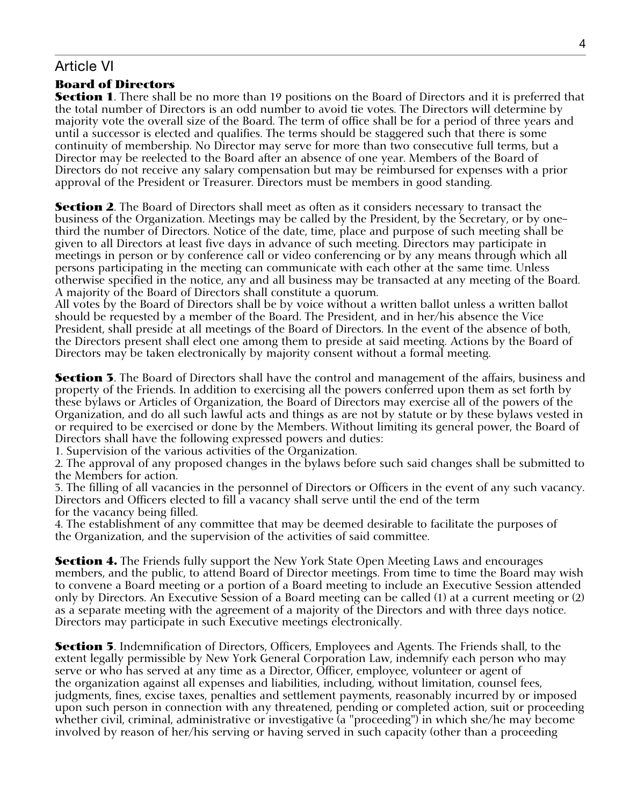### Article VI

#### **Board of Directors**

**Section 1**. There shall be no more than 19 positions on the Board of Directors and it is preferred that the total number of Directors is an odd number to avoid tie votes. The Directors will determine by majority vote the overall size of the Board. The term of office shall be for a period of three years and until a successor is elected and qualifies. The terms should be staggered such that there is some continuity of membership. No Director may serve for more than two consecutive full terms, but a Director may be reelected to the Board after an absence of one year. Members of the Board of Directors do not receive any salary compensation but may be reimbursed for expenses with a prior approval of the President or Treasurer. Directors must be members in good standing.

**Section 2**. The Board of Directors shall meet as often as it considers necessary to transact the business of the Organization. Meetings may be called by the President, by the Secretary, or by onethird the number of Directors. Notice of the date, time, place and purpose of such meeting shall be given to all Directors at least five days in advance of such meeting. Directors may participate in meetings in person or by conference call or video conferencing or by any means through which all persons participating in the meeting can communicate with each other at the same time. Unless otherwise specified in the notice, any and all business may be transacted at any meeting of the Board. A majority of the Board of Directors shall constitute a quorum.

All votes by the Board of Directors shall be by voice without a written ballot unless a written ballot should be requested by a member of the Board. The President, and in her/his absence the Vice President, shall preside at all meetings of the Board of Directors. In the event of the absence of both, the Directors present shall elect one among them to preside at said meeting. Actions by the Board of Directors may be taken electronically by majority consent without a formal meeting.

**Section 3**. The Board of Directors shall have the control and management of the affairs, business and property of the Friends. In addition to exercising all the powers conferred upon them as set forth by these bylaws or Articles of Organization, the Board of Directors may exercise all of the powers of the Organization, and do all such lawful acts and things as are not by statute or by these bylaws vested in or required to be exercised or done by the Members. Without limiting its general power, the Board of Directors shall have the following expressed powers and duties:

1. Supervision of the various activities of the Organization.

2. The approval of any proposed changes in the bylaws before such said changes shall be submitted to the Members for action.

3. The filling of all vacancies in the personnel of Directors or Officers in the event of any such vacancy. Directors and Officers elected to fill a vacancy shall serve until the end of the term for the vacancy being filled.

4. The establishment of any committee that may be deemed desirable to facilitate the purposes of the Organization, and the supervision of the activities of said committee.

**Section 4.** The Friends fully support the New York State Open Meeting Laws and encourages members, and the public, to attend Board of Director meetings. From time to time the Board may wish to convene a Board meeting or a portion of a Board meeting to include an Executive Session attended only by Directors. An Executive Session of a Board meeting can be called (1) at a current meeting or (2) as a separate meeting with the agreement of a majority of the Directors and with three days notice. Directors may participate in such Executive meetings electronically.

**Section 5**. Indemnification of Directors, Officers, Employees and Agents. The Friends shall, to the extent legally permissible by New York General Corporation Law, indemnify each person who may serve or who has served at any time as a Director, Officer, employee, volunteer or agent of the organization against all expenses and liabilities, including, without limitation, counsel fees, judgments, fines, excise taxes, penalties and settlement payments, reasonably incurred by or imposed upon such person in connection with any threatened, pending or completed action, suit or proceeding whether civil, criminal, administrative or investigative (a "proceeding") in which she/he may become involved by reason of her/his serving or having served in such capacity (other than a proceeding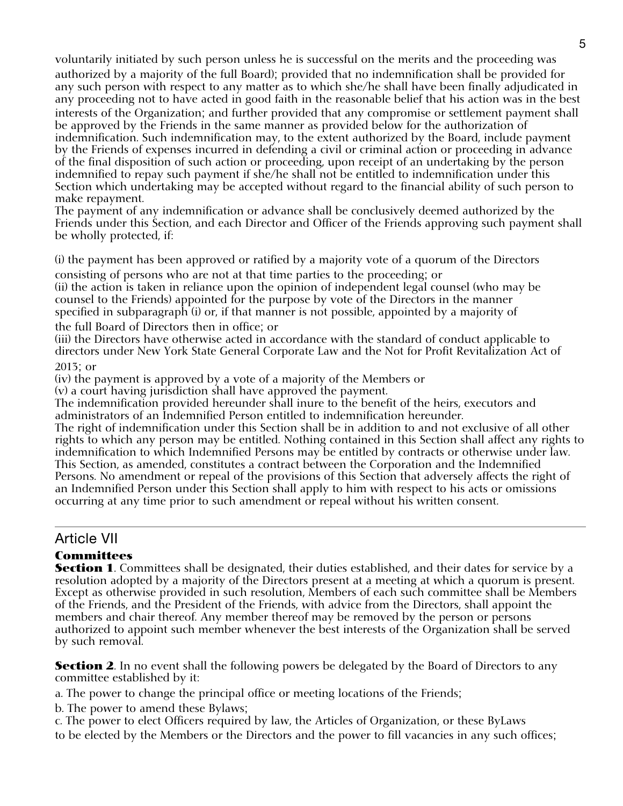voluntarily initiated by such person unless he is successful on the merits and the proceeding was

authorized by a majority of the full Board); provided that no indemnification shall be provided for any such person with respect to any matter as to which she/he shall have been finally adjudicated in any proceeding not to have acted in good faith in the reasonable belief that his action was in the best interests of the Organization; and further provided that any compromise or settlement payment shall be approved by the Friends in the same manner as provided below for the authorization of indemnification. Such indemnification may, to the extent authorized by the Board, include payment by the Friends of expenses incurred in defending a civil or criminal action or proceeding in advance of the final disposition of such action or proceeding, upon receipt of an undertaking by the person indemnified to repay such payment if she/he shall not be entitled to indemnification under this Section which undertaking may be accepted without regard to the financial ability of such person to make repayment.

The payment of any indemnification or advance shall be conclusively deemed authorized by the Friends under this Section, and each Director and Officer of the Friends approving such payment shall be wholly protected, if:

(i) the payment has been approved or ratified by a majority vote of a quorum of the Directors consisting of persons who are not at that time parties to the proceeding; or

(ii) the action is taken in reliance upon the opinion of independent legal counsel (who may be counsel to the Friends) appointed for the purpose by vote of the Directors in the manner specified in subparagraph (i) or, if that manner is not possible, appointed by a majority of

the full Board of Directors then in office; or

(iii) the Directors have otherwise acted in accordance with the standard of conduct applicable to directors under New York State General Corporate Law and the Not for Profit Revitalization Act of 2013; or

(iv) the payment is approved by a vote of a majority of the Members or

(v) a court having jurisdiction shall have approved the payment.

The indemnification provided hereunder shall inure to the benefit of the heirs, executors and administrators of an Indemnified Person entitled to indemnification hereunder.

The right of indemnification under this Section shall be in addition to and not exclusive of all other rights to which any person may be entitled. Nothing contained in this Section shall affect any rights to indemnification to which Indemnified Persons may be entitled by contracts or otherwise under law. This Section, as amended, constitutes a contract between the Corporation and the Indemnified Persons. No amendment or repeal of the provisions of this Section that adversely affects the right of an Indemnified Person under this Section shall apply to him with respect to his acts or omissions occurring at any time prior to such amendment or repeal without his written consent.

### Article VII

### **Committees**

**Section 1**. Committees shall be designated, their duties established, and their dates for service by a resolution adopted by a majority of the Directors present at a meeting at which a quorum is present. Except as otherwise provided in such resolution, Members of each such committee shall be Members of the Friends, and the President of the Friends, with advice from the Directors, shall appoint the members and chair thereof. Any member thereof may be removed by the person or persons authorized to appoint such member whenever the best interests of the Organization shall be served by such removal.

**Section 2.** In no event shall the following powers be delegated by the Board of Directors to any committee established by it:

a. The power to change the principal office or meeting locations of the Friends;

b. The power to amend these Bylaws;

c. The power to elect Officers required by law, the Articles of Organization, or these ByLaws to be elected by the Members or the Directors and the power to fill vacancies in any such offices;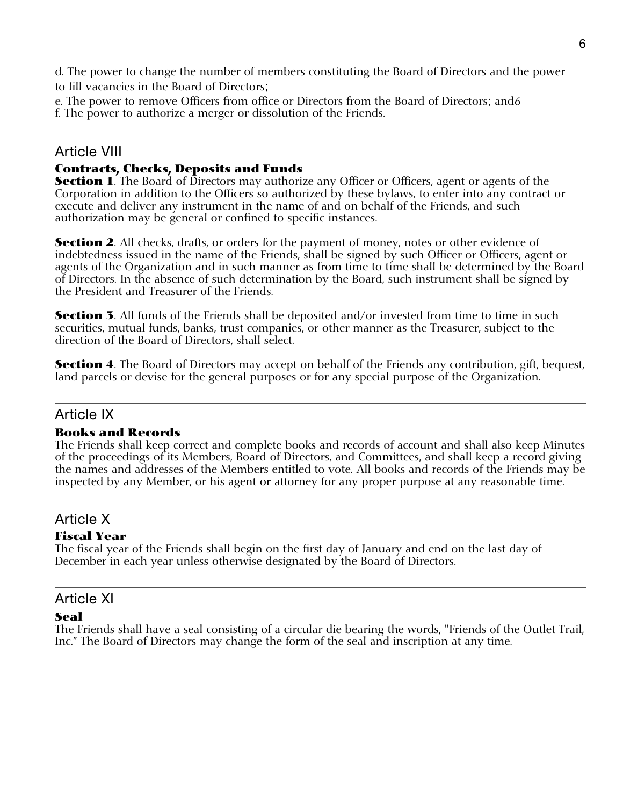d. The power to change the number of members constituting the Board of Directors and the power to fill vacancies in the Board of Directors;

e. The power to remove Officers from office or Directors from the Board of Directors; and6

f. The power to authorize a merger or dissolution of the Friends.

# Article VIII

# **Contracts, Checks, Deposits and Funds**

**Section 1**. The Board of Directors may authorize any Officer or Officers, agent or agents of the Corporation in addition to the Officers so authorized by these bylaws, to enter into any contract or execute and deliver any instrument in the name of and on behalf of the Friends, and such authorization may be general or confined to specific instances.

**Section 2.** All checks, drafts, or orders for the payment of money, notes or other evidence of indebtedness issued in the name of the Friends, shall be signed by such Officer or Officers, agent or agents of the Organization and in such manner as from time to time shall be determined by the Board of Directors. In the absence of such determination by the Board, such instrument shall be signed by the President and Treasurer of the Friends.

**Section 3**. All funds of the Friends shall be deposited and/or invested from time to time in such securities, mutual funds, banks, trust companies, or other manner as the Treasurer, subject to the direction of the Board of Directors, shall select.

**Section 4**. The Board of Directors may accept on behalf of the Friends any contribution, gift, bequest, land parcels or devise for the general purposes or for any special purpose of the Organization.

# Article IX

### **Books and Records**

The Friends shall keep correct and complete books and records of account and shall also keep Minutes of the proceedings of its Members, Board of Directors, and Committees, and shall keep a record giving the names and addresses of the Members entitled to vote. All books and records of the Friends may be inspected by any Member, or his agent or attorney for any proper purpose at any reasonable time.

# Article X

### **Fiscal Year**

The fiscal year of the Friends shall begin on the first day of January and end on the last day of December in each year unless otherwise designated by the Board of Directors.

### Article XI

### **Seal**

The Friends shall have a seal consisting of a circular die bearing the words, "Friends of the Outlet Trail, Inc." The Board of Directors may change the form of the seal and inscription at any time.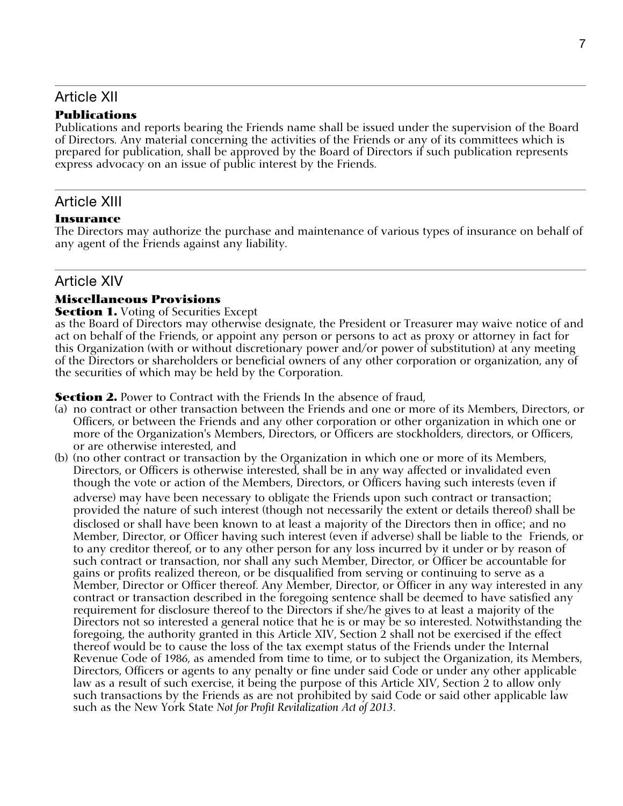# Article XII

#### **Publications**

Publications and reports bearing the Friends name shall be issued under the supervision of the Board of Directors. Any material concerning the activities of the Friends or any of its committees which is prepared for publication, shall be approved by the Board of Directors if such publication represents express advocacy on an issue of public interest by the Friends.

### Article XIII

#### **Insurance**

The Directors may authorize the purchase and maintenance of various types of insurance on behalf of any agent of the Friends against any liability.

### Article XIV

#### **Miscellaneous Provisions**

#### **Section 1.** Voting of Securities Except

as the Board of Directors may otherwise designate, the President or Treasurer may waive notice of and act on behalf of the Friends, or appoint any person or persons to act as proxy or attorney in fact for this Organization (with or without discretionary power and/or power of substitution) at any meeting of the Directors or shareholders or beneficial owners of any other corporation or organization, any of the securities of which may be held by the Corporation.

**Section 2.** Power to Contract with the Friends In the absence of fraud,

- (a) no contract or other transaction between the Friends and one or more of its Members, Directors, or Officers, or between the Friends and any other corporation or other organization in which one or more of the Organization's Members, Directors, or Officers are stockholders, directors, or Officers, or are otherwise interested, and
- (b) (no other contract or transaction by the Organization in which one or more of its Members, Directors, or Officers is otherwise interested, shall be in any way affected or invalidated even though the vote or action of the Members, Directors, or Officers having such interests (even if

adverse) may have been necessary to obligate the Friends upon such contract or transaction; provided the nature of such interest (though not necessarily the extent or details thereof) shall be disclosed or shall have been known to at least a majority of the Directors then in office; and no Member, Director, or Officer having such interest (even if adverse) shall be liable to the Friends, or to any creditor thereof, or to any other person for any loss incurred by it under or by reason of such contract or transaction, nor shall any such Member, Director, or Officer be accountable for gains or profits realized thereon, or be disqualified from serving or continuing to serve as a Member, Director or Officer thereof. Any Member, Director, or Officer in any way interested in any contract or transaction described in the foregoing sentence shall be deemed to have satisfied any requirement for disclosure thereof to the Directors if she/he gives to at least a majority of the Directors not so interested a general notice that he is or may be so interested. Notwithstanding the foregoing, the authority granted in this Article XIV, Section 2 shall not be exercised if the effect thereof would be to cause the loss of the tax exempt status of the Friends under the Internal Revenue Code of 1986, as amended from time to time, or to subject the Organization, its Members, Directors, Officers or agents to any penalty or fine under said Code or under any other applicable law as a result of such exercise, it being the purpose of this Article XIV, Section 2 to allow only such transactions by the Friends as are not prohibited by said Code or said other applicable law such as the New York State *Not for Profit Revitalization Act of 2013*.